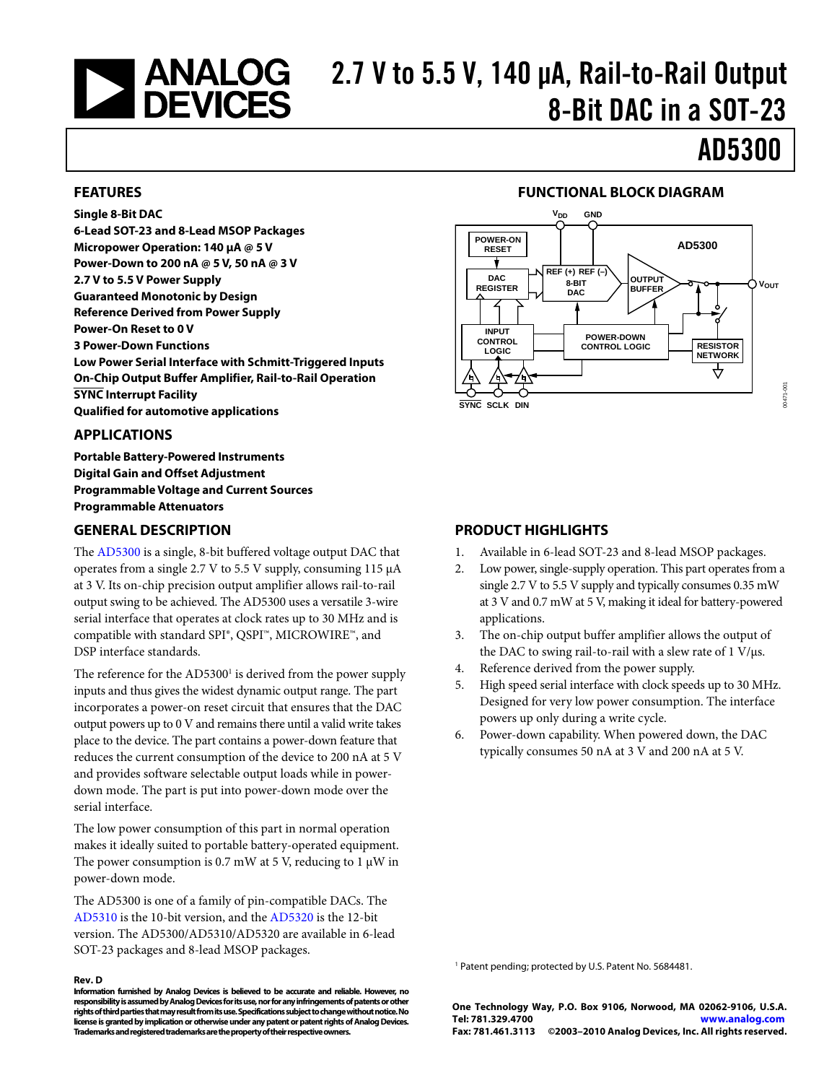# 2.7 V to 5.5 V, 140 μA, Rail-to-Rail Output<br>2.7 DEVICES<br>2.7 V to 5.5 V, 140 μA, Rail-to-Rail Output 8-Bit DAC in a SOT-23

AD5300

### **FEATURES**

#### **Single 8-Bit DAC**

**6-Lead SOT-23 and 8-Lead MSOP Packages Micropower Operation: 140 μA @ 5 V Power-Down to 200 nA @ 5 V, 50 nA @ 3 V 2.7 V to 5.5 V Power Supply Guaranteed Monotonic by Design Reference Derived from Power Supply Power-On Reset to 0 V 3 Power-Down Functions Low Power Serial Interface with Schmitt-Triggered Inputs On-Chip Output Buffer Amplifier, Rail-to-Rail Operation SYNC Interrupt Facility Qualified for automotive applications** 

#### **APPLICATIONS**

**Portable Battery-Powered Instruments Digital Gain and Offset Adjustment Programmable Voltage and Current Sources Programmable Attenuators** 

#### **GENERAL DESCRIPTION**

The [AD5300 i](http://www.analog.com/AD5300)s a single, 8-bit buffered voltage output DAC that operates from a single 2.7 V to 5.5 V supply, consuming 115 μA at 3 V. Its on-chip precision output amplifier allows rail-to-rail output swing to be achieved. The AD5300 uses a versatile 3-wire serial interface that operates at clock rates up to 30 MHz and is compatible with standard SPI®, QSPI™, MICROWIRE™, and DSP interface standards.

The reference for the AD5300<sup>1</sup> is derived from the power supply inputs and thus gives the widest dynamic output range. The part incorporates a power-on reset circuit that ensures that the DAC output powers up to 0 V and remains there until a valid write takes place to the device. The part contains a power-down feature that reduces the current consumption of the device to 200 nA at 5 V and provides software selectable output loads while in powerdown mode. The part is put into power-down mode over the serial interface.

The low power consumption of this part in normal operation makes it ideally suited to portable battery-operated equipment. The power consumption is 0.7 mW at 5 V, reducing to 1  $\mu$ W in power-down mode.

The AD5300 is one of a family of pin-compatible DACs. The [AD5310 i](http://www.analog.com/AD5310)s the 10-bit version, and th[e AD5320 i](http://www.analog.com/AD5320)s the 12-bit version. The AD5300/AD5310/AD5320 are available in 6-lead SOT-23 packages and 8-lead MSOP packages.

#### **Rev. D**

**Information furnished by Analog Devices is believed to be accurate and reliable. However, no responsibility is assumed by Analog Devices for its use, nor for any infringements of patents or other rights of third parties that may result from its use. Specifications subject to change without notice. No license is granted by implication or otherwise under any patent or patent rights of Analog Devices. Trademarks and registered trademarks are the property of their respective owners.** 

#### **FUNCTIONAL BLOCK DIAGRAM**



#### **PRODUCT HIGHLIGHTS**

- 1. Available in 6-lead SOT-23 and 8-lead MSOP packages.
- 2. Low power, single-supply operation. This part operates from a single 2.7 V to 5.5 V supply and typically consumes 0.35 mW at 3 V and 0.7 mW at 5 V, making it ideal for battery-powered applications.
- 3. The on-chip output buffer amplifier allows the output of the DAC to swing rail-to-rail with a slew rate of  $1 \text{ V/}\mu\text{s}$ .
- 4. Reference derived from the power supply.
- 5. High speed serial interface with clock speeds up to 30 MHz. Designed for very low power consumption. The interface powers up only during a write cycle.
- 6. Power-down capability. When powered down, the DAC typically consumes 50 nA at 3 V and 200 nA at 5 V.

1 Patent pending; protected by U.S. Patent No. 5684481.

**One Technology Way, P.O. Box 9106, Norwood, MA 02062-9106, U.S.A. Tel: 781.329.4700 [www.analog.com](http://www.analog.com) Fax: 781.461.3113 ©2003–2010 Analog Devices, Inc. All rights reserved.**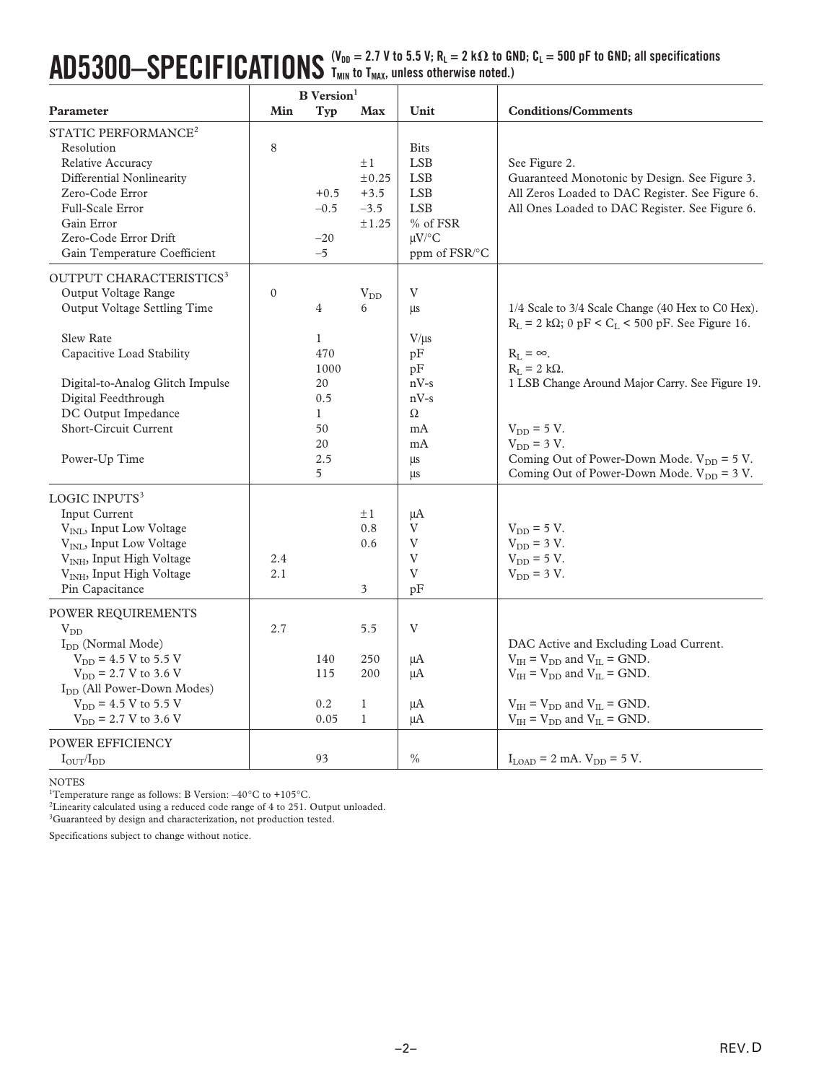## $\mathbf{A}\mathbf{D}5300- \mathbf{SPEC}$  **IFICATIONS**  $\frac{\mathsf{(V_{DD}}=2.7~\mathsf{V}~\mathsf{to}~5.5~\mathsf{V};~\mathsf{R}_\mathsf{L}=2~\mathsf{k}\Omega~\mathsf{to}~\mathsf{GND};~\mathsf{C}_\mathsf{L}=500~\mathsf{pF}~\mathsf{to}~\mathsf{GND};~\mathsf{all}~\mathsf{specifications}}$ **TMIN to TMAX, unless otherwise noted.)**

|                                                                                                                                                                                                                                                                                                                                                                                                                                                                         | <b>B</b> Version <sup>1</sup> |                                                                                       |                                                                                 |                                                                                                                  |                                                                                                                                                                                                                                                                                                                                                                    |
|-------------------------------------------------------------------------------------------------------------------------------------------------------------------------------------------------------------------------------------------------------------------------------------------------------------------------------------------------------------------------------------------------------------------------------------------------------------------------|-------------------------------|---------------------------------------------------------------------------------------|---------------------------------------------------------------------------------|------------------------------------------------------------------------------------------------------------------|--------------------------------------------------------------------------------------------------------------------------------------------------------------------------------------------------------------------------------------------------------------------------------------------------------------------------------------------------------------------|
| Parameter                                                                                                                                                                                                                                                                                                                                                                                                                                                               | Min                           | Typ                                                                                   | <b>Max</b>                                                                      | Unit                                                                                                             | <b>Conditions/Comments</b>                                                                                                                                                                                                                                                                                                                                         |
| STATIC PERFORMANCE <sup>2</sup><br>Resolution<br>Relative Accuracy<br>Differential Nonlinearity<br>Zero-Code Error<br>Full-Scale Error<br>Gain Error<br>Zero-Code Error Drift<br>Gain Temperature Coefficient                                                                                                                                                                                                                                                           | 8                             | $+0.5$<br>$-0.5$<br>$-20$<br>$-5$                                                     | $\pm 1$<br>±0.25<br>$+3.5$<br>$-3.5$<br>±1.25                                   | <b>Bits</b><br><b>LSB</b><br><b>LSB</b><br><b>LSB</b><br><b>LSB</b><br>% of FSR<br>$\mu$ V/°C<br>ppm of FSR/°C   | See Figure 2.<br>Guaranteed Monotonic by Design. See Figure 3.<br>All Zeros Loaded to DAC Register. See Figure 6.<br>All Ones Loaded to DAC Register. See Figure 6.                                                                                                                                                                                                |
| OUTPUT CHARACTERISTICS <sup>3</sup><br>Output Voltage Range<br>Output Voltage Settling Time<br><b>Slew Rate</b><br>Capacitive Load Stability<br>Digital-to-Analog Glitch Impulse<br>Digital Feedthrough<br>DC Output Impedance<br><b>Short-Circuit Current</b><br>Power-Up Time                                                                                                                                                                                         | $\mathbf{0}$                  | 4<br>$\mathbf{1}$<br>470<br>1000<br>20<br>0.5<br>$\mathbf{1}$<br>50<br>20<br>2.5<br>5 | $V_{DD}$<br>6                                                                   | $\ensuremath{\mathbf{V}}$<br>μs<br>$V/\mu s$<br>pF<br>pF<br>$nV-s$<br>$nV-s$<br>$\Omega$<br>mA<br>mA<br>μs<br>μs | 1/4 Scale to 3/4 Scale Change (40 Hex to C0 Hex).<br>$R_L = 2 k\Omega$ ; 0 pF < C <sub>L</sub> < 500 pF. See Figure 16.<br>$R_L = \infty$ .<br>$R_L = 2 k\Omega$ .<br>1 LSB Change Around Major Carry. See Figure 19.<br>$V_{DD} = 5 V$ .<br>$V_{DD}$ = 3 V.<br>Coming Out of Power-Down Mode. $V_{DD} = 5 V$ .<br>Coming Out of Power-Down Mode. $V_{DD} = 3 V$ . |
| LOGIC INPUTS <sup>3</sup><br><b>Input Current</b><br>V <sub>INL</sub> , Input Low Voltage<br>V <sub>INL</sub> , Input Low Voltage<br>V <sub>INH</sub> , Input High Voltage<br>V <sub>INH</sub> , Input High Voltage<br>Pin Capacitance<br>POWER REQUIREMENTS<br>$V_{DD}$<br>I <sub>DD</sub> (Normal Mode)<br>$V_{DD}$ = 4.5 V to 5.5 V<br>$V_{DD}$ = 2.7 V to 3.6 V<br>I <sub>DD</sub> (All Power-Down Modes)<br>$V_{DD}$ = 4.5 V to 5.5 V<br>$V_{DD}$ = 2.7 V to 3.6 V | 2.4<br>2.1<br>2.7             | 140<br>115<br>0.2<br>0.05                                                             | $\pm 1$<br>0.8<br>0.6<br>3<br>5.5<br>250<br>200<br>$\mathbf{1}$<br>$\mathbf{1}$ | μA<br>V<br>V<br>$\ensuremath{\mathbf{V}}$<br>V<br>pF<br>V<br>μA<br>μA<br>μA<br>μA                                | $V_{DD} = 5 V$ .<br>$V_{DD}$ = 3 V.<br>$V_{DD} = 5 V$ .<br>$V_{DD}$ = 3 V.<br>DAC Active and Excluding Load Current.<br>$V_{IH}$ = $V_{DD}$ and $V_{IL}$ = GND.<br>$V_{IH}$ = $V_{DD}$ and $V_{IL}$ = GND.<br>$V_{IH} = V_{DD}$ and $V_{IL} = GND$ .<br>$V_{IH}$ = $V_{DD}$ and $V_{IL}$ = GND.                                                                    |
| POWER EFFICIENCY<br>$I_{\text{OUT}}/I_{\text{DD}}$                                                                                                                                                                                                                                                                                                                                                                                                                      |                               | 93                                                                                    |                                                                                 | $\%$                                                                                                             | $I_{\text{LOAD}} = 2 \text{ mA}$ . $V_{\text{DD}} = 5 \text{ V}$ .                                                                                                                                                                                                                                                                                                 |

NOTES

<sup>1</sup>Temperature range as follows: B Version:  $-40^{\circ}$ C to  $+105^{\circ}$ C.

<sup>2</sup>Linearity calculated using a reduced code range of 4 to 251. Output unloaded.

<sup>3</sup>Guaranteed by design and characterization, not production tested.

Specifications subject to change without notice.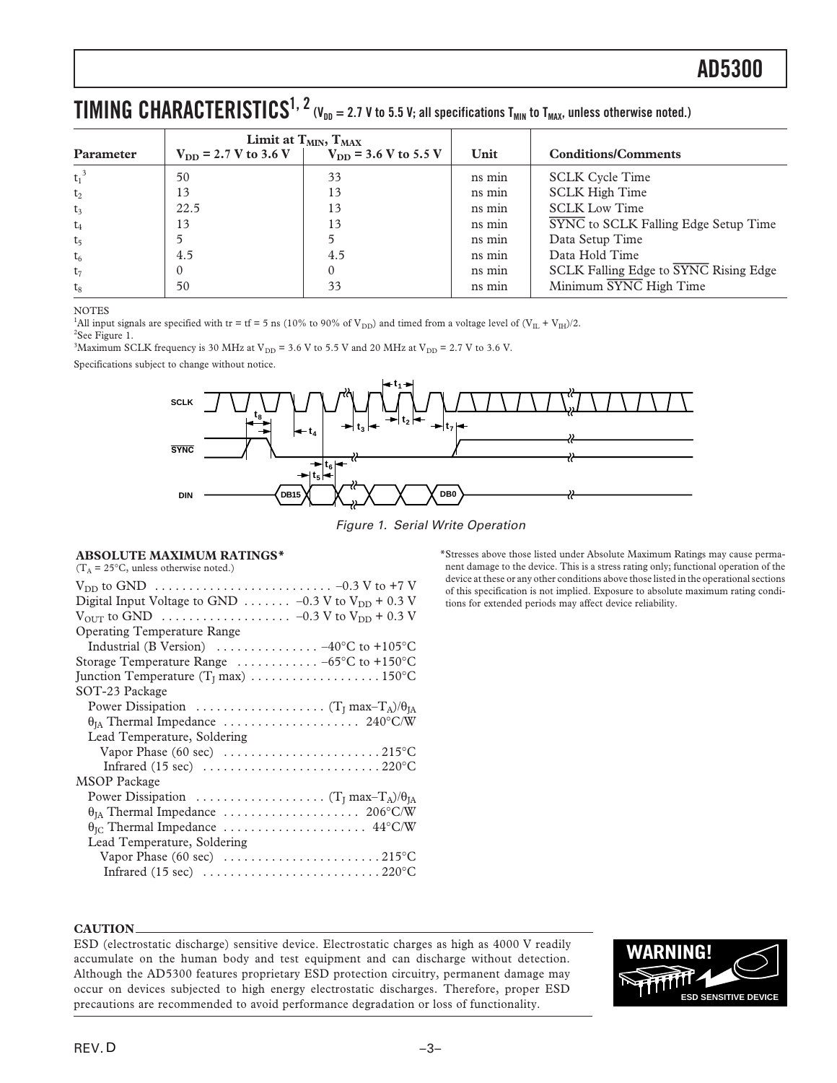## <span id="page-2-0"></span> $\bf{TIMING}$   $\bf{CHARACTERISTICS}^{1, 2}$  (V<sub>DD</sub> = 2.7 V to 5.5 V; all specifications T<sub>MIN</sub> to T<sub>MAX</sub>, unless otherwise noted.)

|                |                           | Limit at $T_{MIN}$ , $T_{MAX}$ |        |                                             |
|----------------|---------------------------|--------------------------------|--------|---------------------------------------------|
| Parameter      | $V_{DD}$ = 2.7 V to 3.6 V | $V_{DD}$ = 3.6 V to 5.5 V      | Unit   | <b>Conditions/Comments</b>                  |
| $t_1^3$        | 50                        | 33                             | ns min | <b>SCLK Cycle Time</b>                      |
| $t_2$          | 13                        | 13                             | ns min | <b>SCLK High Time</b>                       |
| $t_3$          | 22.5                      | 13                             | ns min | <b>SCLK Low Time</b>                        |
| $t_4$          | 13                        | 13                             | ns min | <b>SYNC</b> to SCLK Falling Edge Setup Time |
| t <sub>5</sub> |                           |                                | ns min | Data Setup Time                             |
| $t_6$          | 4.5                       | 4.5                            | ns min | Data Hold Time                              |
| $t_7$          |                           |                                | ns min | SCLK Falling Edge to SYNC Rising Edge       |
| $t_8$          | 50                        | 33                             | ns min | Minimum SYNC High Time                      |

NOTES

<sup>1</sup>All input signals are specified with tr = tf = 5 ns (10% to 90% of V<sub>DD</sub>) and timed from a voltage level of  $(V_{\rm IL} + V_{\rm IH})/2$ .

<sup>2</sup>See Figure 1. <sup>3</sup>Maximum SCLK frequency is 30 MHz at V<sub>DD</sub> = 3.6 V to 5.5 V and 20 MHz at V<sub>DD</sub> = 2.7 V to 3.6 V.

Specifications subject to change without notice.



Figure 1. Serial Write Operation

#### **ABSOLUTE MAXIMUM RATINGS\***

 $(T_A = 25\degree C,$  unless otherwise noted.)

| Digital Input Voltage to GND  -0.3 V to $V_{DD}$ + 0.3 V                           |  |
|------------------------------------------------------------------------------------|--|
|                                                                                    |  |
| <b>Operating Temperature Range</b>                                                 |  |
| Industrial (B Version) $\ldots \ldots \ldots \ldots \ldots -40^{\circ}C$ to +105°C |  |
| Storage Temperature Range $\ldots \ldots \ldots \ldots -65$ °C to +150°C           |  |
|                                                                                    |  |
| SOT-23 Package                                                                     |  |
|                                                                                    |  |
|                                                                                    |  |
| Lead Temperature, Soldering                                                        |  |
|                                                                                    |  |
|                                                                                    |  |
| <b>MSOP</b> Package                                                                |  |
|                                                                                    |  |
|                                                                                    |  |
|                                                                                    |  |
| Lead Temperature, Soldering                                                        |  |
|                                                                                    |  |
|                                                                                    |  |
|                                                                                    |  |

\*Stresses above those listed under Absolute Maximum Ratings may cause permanent damage to the device. This is a stress rating only; functional operation of the device at these or any other conditions above those listed in the operational sections of this specification is not implied. Exposure to absolute maximum rating conditions for extended periods may affect device reliability.

#### **CAUTION**

ESD (electrostatic discharge) sensitive device. Electrostatic charges as high as 4000 V readily accumulate on the human body and test equipment and can discharge without detection. Although the AD5300 features proprietary ESD protection circuitry, permanent damage may occur on devices subjected to high energy electrostatic discharges. Therefore, proper ESD precautions are recommended to avoid performance degradation or loss of functionality.

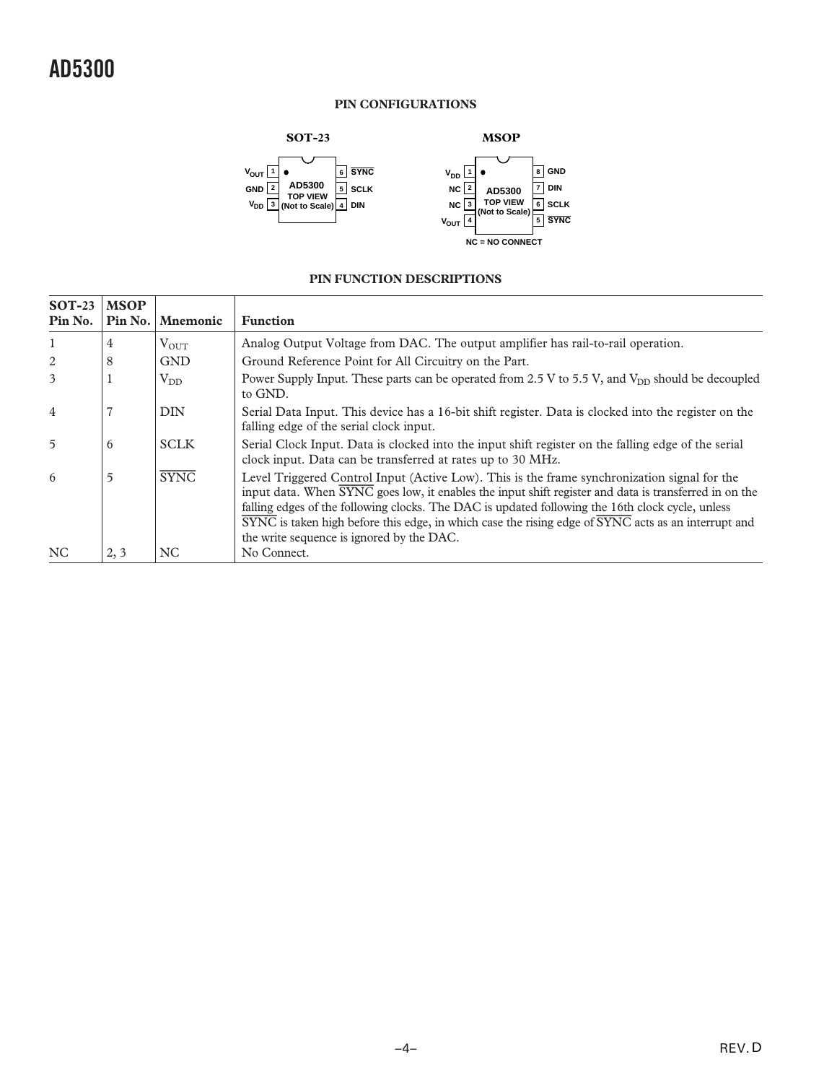### **PIN CONFIGURATIONS**



### **PIN FUNCTION DESCRIPTIONS**

| $SOT-23$<br>Pin No. | <b>MSOP</b><br>Pin No. | <b>Mnemonic</b> | <b>Function</b>                                                                                                                                                                                                                                                                                                                                                                                                                                                                                                           |
|---------------------|------------------------|-----------------|---------------------------------------------------------------------------------------------------------------------------------------------------------------------------------------------------------------------------------------------------------------------------------------------------------------------------------------------------------------------------------------------------------------------------------------------------------------------------------------------------------------------------|
| $\mathbf{1}$        | 4                      | $V_{OUT}$       | Analog Output Voltage from DAC. The output amplifier has rail-to-rail operation.                                                                                                                                                                                                                                                                                                                                                                                                                                          |
| 2                   | 8                      | <b>GND</b>      | Ground Reference Point for All Circuitry on the Part.                                                                                                                                                                                                                                                                                                                                                                                                                                                                     |
| 3                   |                        | $V_{DD}$        | Power Supply Input. These parts can be operated from 2.5 V to 5.5 V, and $V_{DD}$ should be decoupled<br>to GND.                                                                                                                                                                                                                                                                                                                                                                                                          |
| $\overline{4}$      |                        | <b>DIN</b>      | Serial Data Input. This device has a 16-bit shift register. Data is clocked into the register on the<br>falling edge of the serial clock input.                                                                                                                                                                                                                                                                                                                                                                           |
| $\overline{5}$      | 6                      | <b>SCLK</b>     | Serial Clock Input. Data is clocked into the input shift register on the falling edge of the serial<br>clock input. Data can be transferred at rates up to 30 MHz.                                                                                                                                                                                                                                                                                                                                                        |
| 6                   | 5                      | <b>SYNC</b>     | Level Triggered Control Input (Active Low). This is the frame synchronization signal for the<br>input data. When $\overline{\text{SYNC}}$ goes low, it enables the input shift register and data is transferred in on the<br>falling edges of the following clocks. The DAC is updated following the 16th clock cycle, unless<br>$\overline{\text{SYNC}}$ is taken high before this edge, in which case the rising edge of $\overline{\text{SYNC}}$ acts as an interrupt and<br>the write sequence is ignored by the DAC. |
| NC                  | 2, 3                   | NC.             | No Connect.                                                                                                                                                                                                                                                                                                                                                                                                                                                                                                               |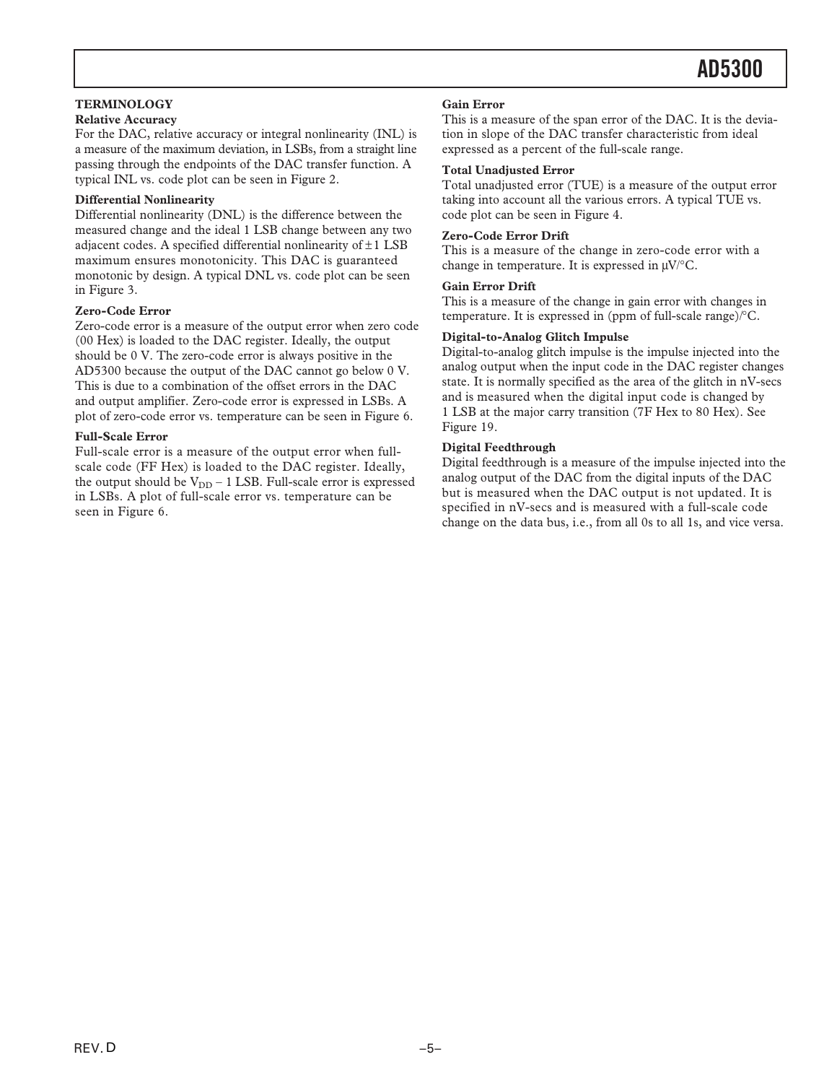#### **TERMINOLOGY**

### **Relative Accuracy**

For the DAC, relative accuracy or integral nonlinearity (INL) is a measure of the maximum deviation, in LSBs, from a straight line passing through the endpoints of the DAC transfer function. A typical INL vs. code plot can be seen i[n Figure 2.](#page-5-0)

#### **Differential Nonlinearity**

Differential nonlinearity (DNL) is the difference between the measured change and the ideal 1 LSB change between any two adjacent codes. A specified differential nonlinearity of  $\pm 1$  LSB maximum ensures monotonicity. This DAC is guaranteed monotonic by design. A typical DNL vs. code plot can be seen in [Figure 3.](#page-5-0)

#### **Zero-Code Error**

Zero-code error is a measure of the output error when zero code (00 Hex) is loaded to the DAC register. Ideally, the output should be 0 V. The zero-code error is always positive in the AD5300 because the output of the DAC cannot go below 0 V. This is due to a combination of the offset errors in the DAC and output amplifier. Zero-code error is expressed in LSBs. A plot of zero-code error vs. temperature can be seen i[n Figure 6.](#page-5-0)

#### **Full-Scale Error**

Full-scale error is a measure of the output error when fullscale code (FF Hex) is loaded to the DAC register. Ideally, the output should be  $V_{DD}$  – 1 LSB. Full-scale error is expressed in LSBs. A plot of full-scale error vs. temperature can be seen in [Figure 6.](#page-5-0)

#### **Gain Error**

This is a measure of the span error of the DAC. It is the deviation in slope of the DAC transfer characteristic from ideal expressed as a percent of the full-scale range.

#### **Total Unadjusted Error**

Total unadjusted error (TUE) is a measure of the output error taking into account all the various errors. A typical TUE vs. code plot can be seen i[n Figure 4.](#page-5-0)

#### **Zero-Code Error Drift**

This is a measure of the change in zero-code error with a change in temperature. It is expressed in  $\mu$ V/°C.

#### **Gain Error Drift**

This is a measure of the change in gain error with changes in temperature. It is expressed in (ppm of full-scale range)/°C.

#### **Digital-to-Analog Glitch Impulse**

Digital-to-analog glitch impulse is the impulse injected into the analog output when the input code in the DAC register changes state. It is normally specified as the area of the glitch in nV-secs and is measured when the digital input code is changed by 1 LSB at the major carry transition (7F Hex to 80 Hex). See [Figure 19.](#page-6-0)

#### **Digital Feedthrough**

Digital feedthrough is a measure of the impulse injected into the analog output of the DAC from the digital inputs of the DAC but is measured when the DAC output is not updated. It is specified in nV-secs and is measured with a full-scale code change on the data bus, i.e., from all 0s to all 1s, and vice versa.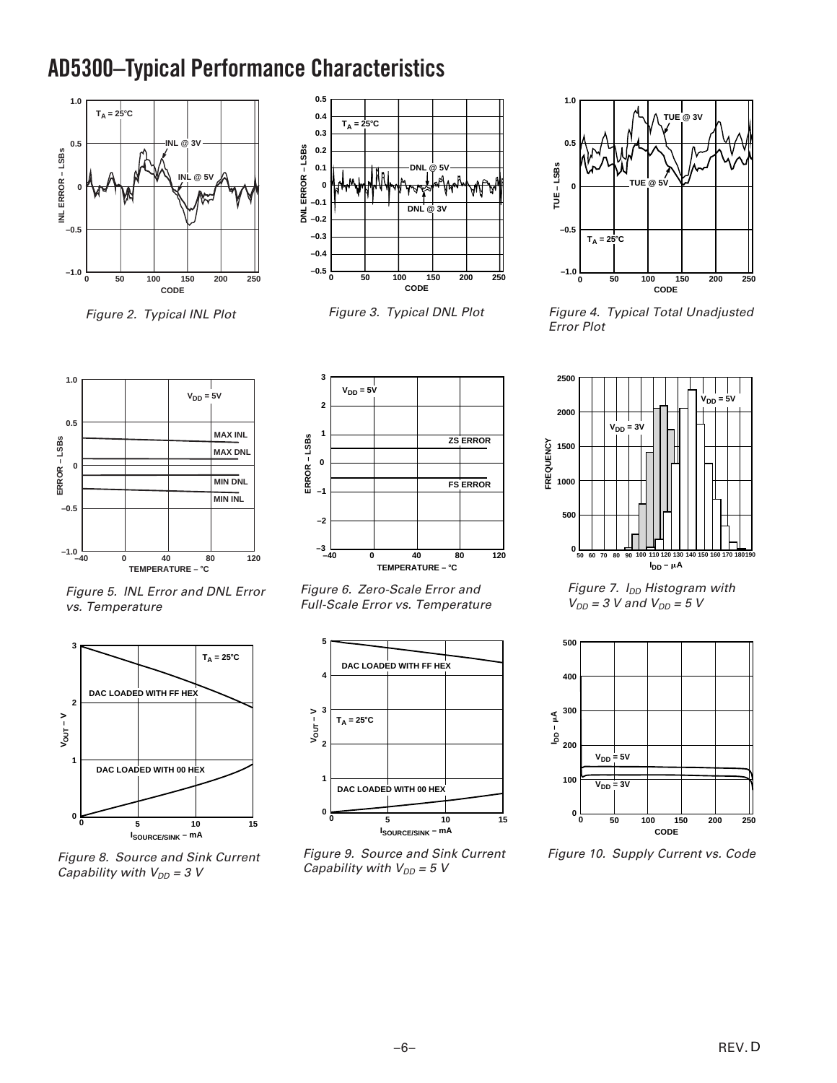## <span id="page-5-0"></span>**AD5300–Typical Performance Characteristics**



Figure 2. Typical INL Plot



Figure 3. Typical DNL Plot



Figure 4. Typical Total Unadjusted Error Plot



Figure 5. INL Error and DNL Error vs. Temperature



Figure 8. Source and Sink Current Capability with  $V_{DD} = 3$  V



Figure 6. Zero-Scale Error and Full-Scale Error vs. Temperature



Figure 9. Source and Sink Current Capability with  $V_{DD} = 5 V$ 



Figure 7.  $I_{DD}$  Histogram with  $V_{DD}$  = 3 V and  $V_{DD}$  = 5 V



Figure 10. Supply Current vs. Code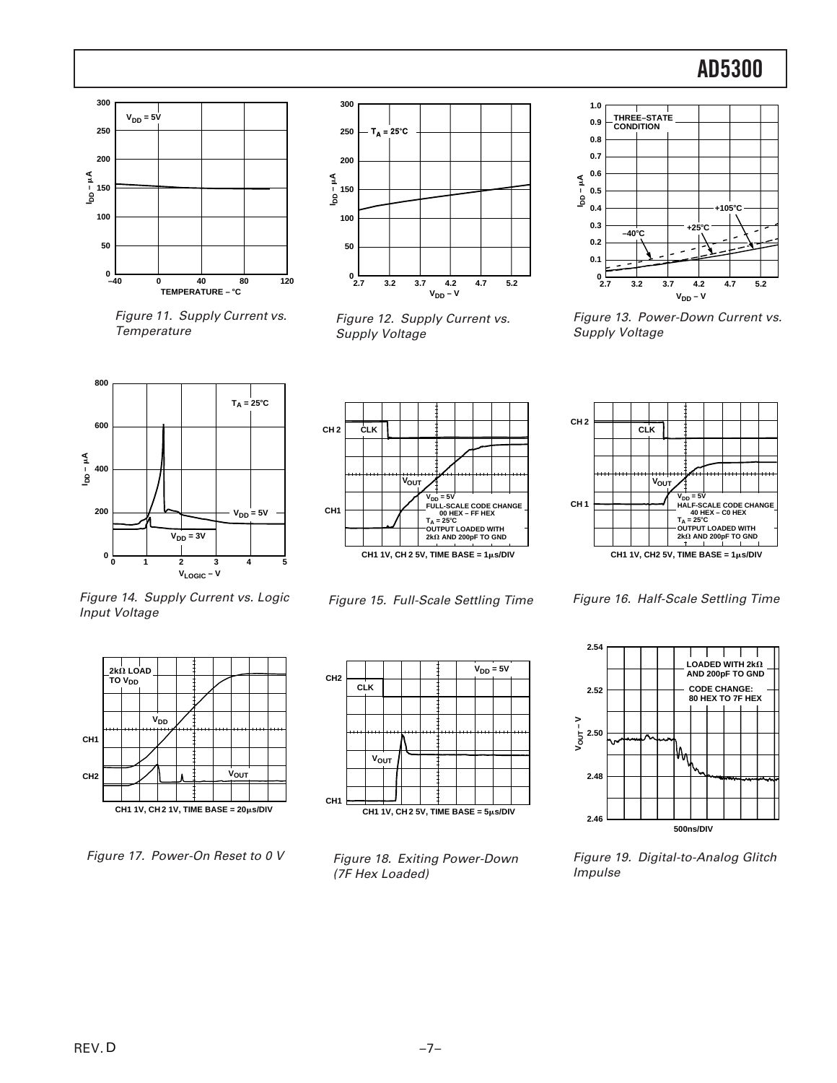<span id="page-6-0"></span>

Figure 11. Supply Current vs. **Temperature** 



Figure 12. Supply Current vs. Supply Voltage



Figure 13. Power-Down Current vs. Supply Voltage







Figure 16. Half-Scale Settling Time



Figure 19. Digital-to-Analog Glitch Impulse

Figure 14. Supply Current vs. Logic Input Voltage



Figure 17. Power-On Reset to 0 V



Figure 15. Full-Scale Settling Time



Figure 18. Exiting Power-Down (7F Hex Loaded)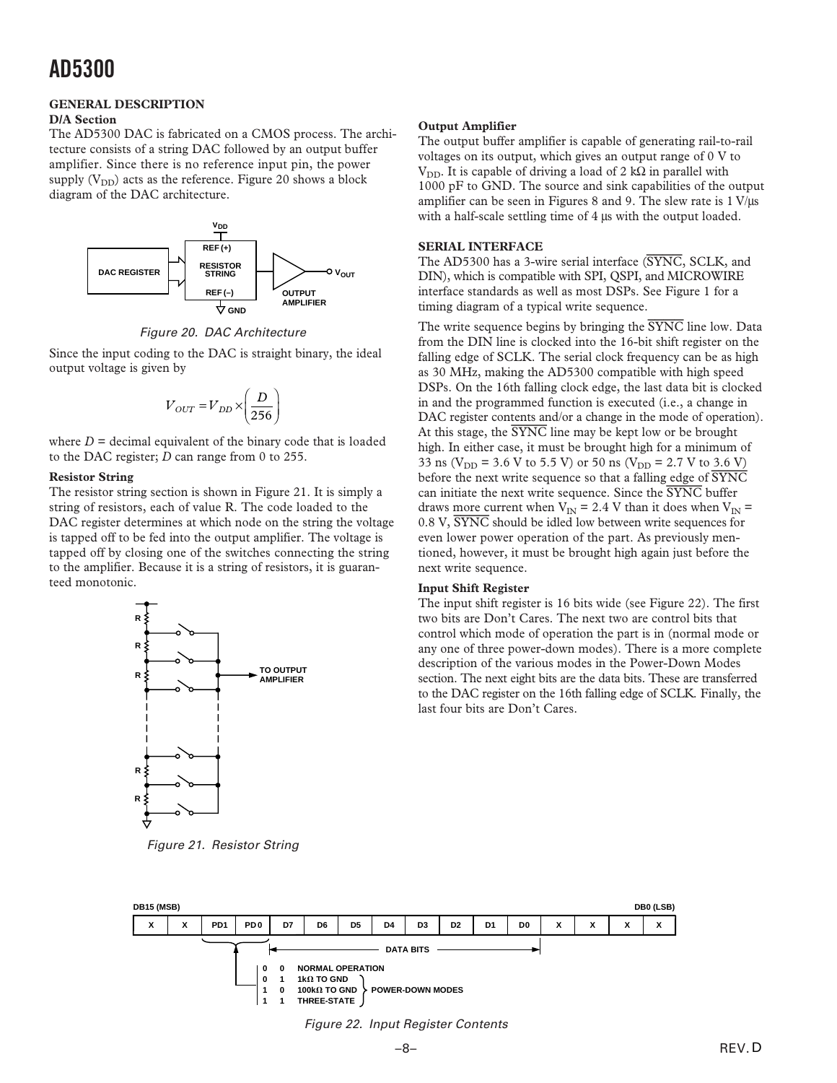## **GENERAL DESCRIPTION**

### **D/A Section**

The AD5300 DAC is fabricated on a CMOS process. The architecture consists of a string DAC followed by an output buffer amplifier. Since there is no reference input pin, the power supply  $(V_{DD})$  acts as the reference. Figure 20 shows a block diagram of the DAC architecture.



Figure 20. DAC Architecture

Since the input coding to the DAC is straight binary, the ideal output voltage is given by

$$
V_{OUT} = V_{DD} \times \left(\frac{D}{256}\right)
$$

where  $D =$  decimal equivalent of the binary code that is loaded to the DAC register; *D* can range from 0 to 255.

#### **Resistor String**

The resistor string section is shown in Figure 21. It is simply a string of resistors, each of value R. The code loaded to the DAC register determines at which node on the string the voltage is tapped off to be fed into the output amplifier. The voltage is tapped off by closing one of the switches connecting the string to the amplifier. Because it is a string of resistors, it is guaranteed monotonic.



Figure 21. Resistor String

#### **Output Amplifier**

The output buffer amplifier is capable of generating rail-to-rail voltages on its output, which gives an output range of 0 V to V<sub>DD</sub>. It is capable of driving a load of 2 kΩ in parallel with 1000 pF to GND. The source and sink capabilities of the output amplifier can be seen in [Figures 8](#page-5-0) a[nd 9. T](#page-5-0)he slew rate is  $1 \text{ V/}\mu\text{s}$ with a half-scale settling time of 4  $\mu$ s with the output loaded.

#### **SERIAL INTERFACE**

The AD5300 has a 3-wire serial interface (*SYNC*, SCLK, and DIN), which is compatible with SPI, QSPI, and MICROWIRE interface standards as well as most DSPs. Se[e Figure 1 f](#page-2-0)or a timing diagram of a typical write sequence.

The write sequence begins by bringing the *SYNC* line low. Data from the DIN line is clocked into the 16-bit shift register on the falling edge of SCLK. The serial clock frequency can be as high as 30 MHz, making the AD5300 compatible with high speed DSPs. On the 16th falling clock edge, the last data bit is clocked in and the programmed function is executed (i.e., a change in DAC register contents and/or a change in the mode of operation). At this stage, the *SYNC* line may be kept low or be brought high. In either case, it must be brought high for a minimum of 33 ns ( $V_{DD}$  = 3.6 V to 5.5 V) or 50 ns ( $V_{DD}$  = 2.7 V to 3.6 V) before the next write sequence so that a falling edge of *SYNC* can initiate the next write sequence. Since the *SYNC* buffer draws more current when  $V_{IN} = 2.4$  V than it does when  $V_{IN} =$ 0.8 V, *SYNC* should be idled low between write sequences for even lower power operation of the part. As previously mentioned, however, it must be brought high again just before the next write sequence.

#### **Input Shift Register**

The input shift register is 16 bits wide (see Figure 22). The first two bits are Don't Cares. The next two are control bits that control which mode of operation the part is in (normal mode or any one of three power-down modes). There is a more complete description of the various modes in th[e Power-Down Modes](#page-8-0) [section. T](#page-8-0)he next eight bits are the data bits. These are transferred to the DAC register on the 16th falling edge of SCLK. Finally, the last four bits are Don't Cares.



Figure 22. Input Register Contents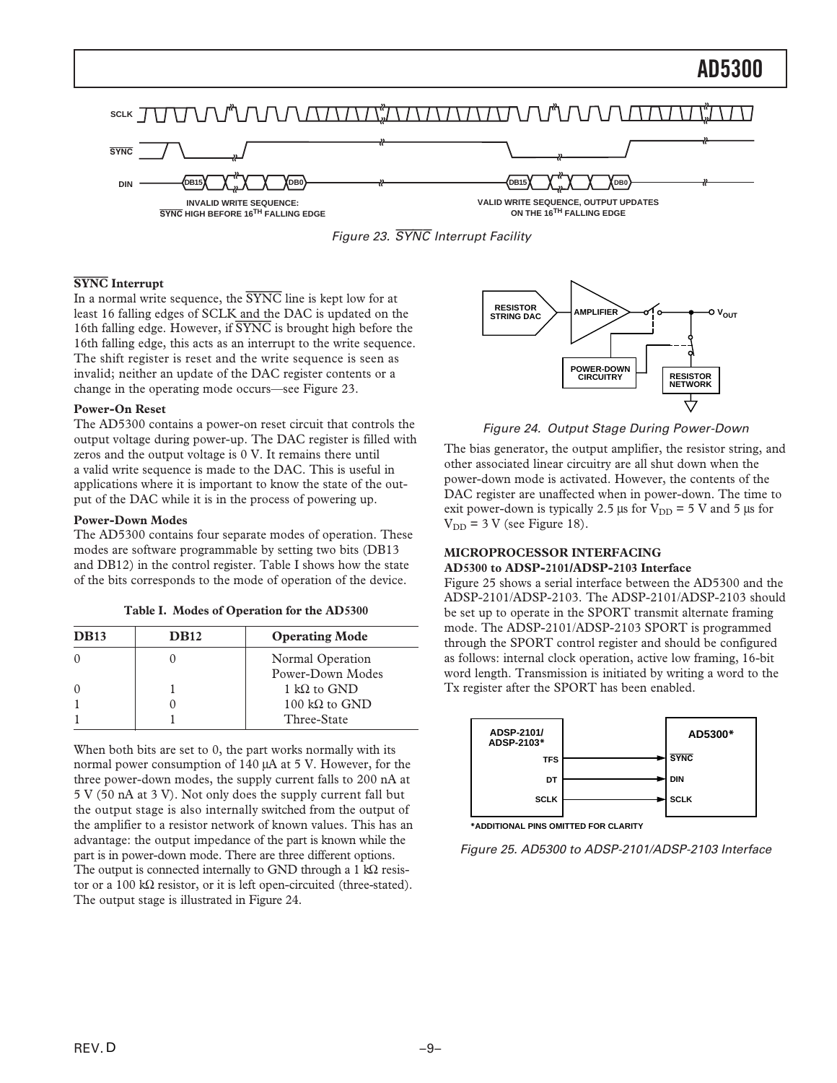<span id="page-8-0"></span>



#### **SYNC Interrupt**

In a normal write sequence, the *SYNC* line is kept low for at least 16 falling edges of SCLK and the DAC is updated on the 16th falling edge. However, if *SYNC* is brought high before the 16th falling edge, this acts as an interrupt to the write sequence. The shift register is reset and the write sequence is seen as invalid; neither an update of the DAC register contents or a change in the operating mode occurs—see Figure 23.

#### **Power-On Reset**

The AD5300 contains a power-on reset circuit that controls the output voltage during power-up. The DAC register is filled with zeros and the output voltage is 0 V. It remains there until a valid write sequence is made to the DAC. This is useful in applications where it is important to know the state of the output of the DAC while it is in the process of powering up.

#### **Power-Down Modes**

The AD5300 contains four separate modes of operation. These modes are software programmable by setting two bits (DB13 and DB12) in the control register. Table I shows how the state of the bits corresponds to the mode of operation of the device.

|  |  |  | Table I. Modes of Operation for the AD5300 |  |  |  |
|--|--|--|--------------------------------------------|--|--|--|
|--|--|--|--------------------------------------------|--|--|--|

| <b>DB13</b> | <b>DB12</b> | <b>Operating Mode</b> |
|-------------|-------------|-----------------------|
|             |             | Normal Operation      |
|             |             | Power-Down Modes      |
| $\Omega$    |             | 1 kQ to GND           |
|             |             | 100 kΩ to GND         |
|             |             | Three-State           |

When both bits are set to 0, the part works normally with its normal power consumption of 140 µA at 5 V. However, for the three power-down modes, the supply current falls to 200 nA at 5 V (50 nA at 3 V). Not only does the supply current fall but the output stage is also internally switched from the output of the amplifier to a resistor network of known values. This has an advantage: the output impedance of the part is known while the part is in power-down mode. There are three different options. The output is connected internally to GND through a 1  $k\Omega$  resistor or a 100 kΩ resistor, or it is left open-circuited (three-stated). The output stage is illustrated in Figure 24.



Figure 24. Output Stage During Power-Down

The bias generator, the output amplifier, the resistor string, and other associated linear circuitry are all shut down when the power-down mode is activated. However, the contents of the DAC register are unaffected when in power-down. The time to exit power-down is typically 2.5  $\mu$ s for V<sub>DD</sub> = 5 V and 5  $\mu$ s for  $V_{DD}$  = 3 V (se[e Figure 18\).](#page-6-0)

### **MICROPROCESSOR INTERFACING**

#### **AD5300 to ADSP-2101/ADSP-2103 Interface**

Figure 25 shows a serial interface between the AD5300 and the ADSP-2101/ADSP-2103. The ADSP-2101/ADSP-2103 should be set up to operate in the SPORT transmit alternate framing mode. The ADSP-2101/ADSP-2103 SPORT is programmed through the SPORT control register and should be configured as follows: internal clock operation, active low framing, 16-bit word length. Transmission is initiated by writing a word to the Tx register after the SPORT has been enabled.



**\*ADDITIONAL PINS OMITTED FOR CLARITY**

Figure 25. AD5300 to ADSP-2101/ADSP-2103 Interface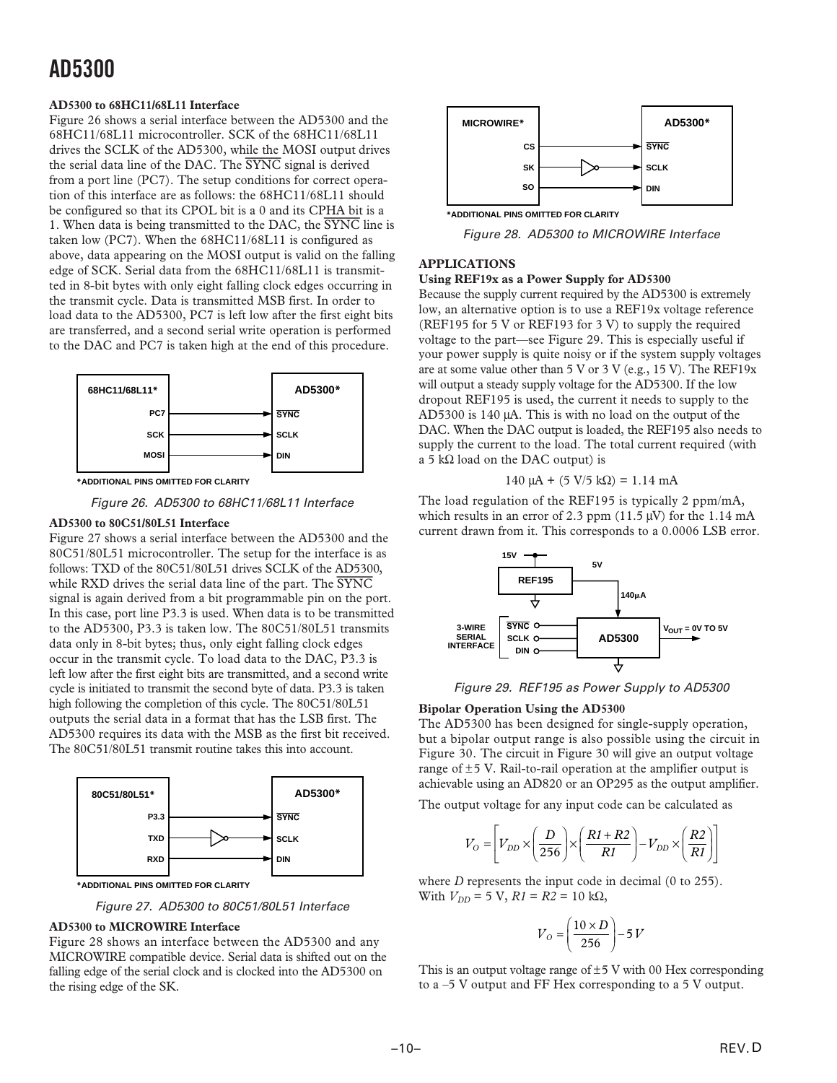#### **AD5300 to 68HC11/68L11 Interface**

Figure 26 shows a serial interface between the AD5300 and the 68HC11/68L11 microcontroller. SCK of the 68HC11/68L11 drives the SCLK of the AD5300, while the MOSI output drives the serial data line of the DAC. The *SYNC* signal is derived from a port line (PC7). The setup conditions for correct operation of this interface are as follows: the 68HC11/68L11 should be configured so that its CPOL bit is a 0 and its CPHA bit is a 1. When data is being transmitted to the DAC, the *SYNC* line is taken low (PC7). When the 68HC11/68L11 is configured as above, data appearing on the MOSI output is valid on the falling edge of SCK. Serial data from the 68HC11/68L11 is transmitted in 8-bit bytes with only eight falling clock edges occurring in the transmit cycle. Data is transmitted MSB first. In order to load data to the AD5300, PC7 is left low after the first eight bits are transferred, and a second serial write operation is performed to the DAC and PC7 is taken high at the end of this procedure.



**\*ADDITIONAL PINS OMITTED FOR CLARITY**

Figure 26. AD5300 to 68HC11/68L11 Interface

#### **AD5300 to 80C51/80L51 Interface**

Figure 27 shows a serial interface between the AD5300 and the 80C51/80L51 microcontroller. The setup for the interface is as follows: TXD of the 80C51/80L51 drives SCLK of the AD5300, while RXD drives the serial data line of the part. The *SYNC* signal is again derived from a bit programmable pin on the port. In this case, port line P3.3 is used. When data is to be transmitted to the AD5300, P3.3 is taken low. The 80C51/80L51 transmits data only in 8-bit bytes; thus, only eight falling clock edges occur in the transmit cycle. To load data to the DAC, P3.3 is left low after the first eight bits are transmitted, and a second write cycle is initiated to transmit the second byte of data. P3.3 is taken high following the completion of this cycle. The 80C51/80L51 outputs the serial data in a format that has the LSB first. The AD5300 requires its data with the MSB as the first bit received. The 80C51/80L51 transmit routine takes this into account.



**\*ADDITIONAL PINS OMITTED FOR CLARITY**

Figure 27. AD5300 to 80C51/80L51 Interface

#### **AD5300 to MICROWIRE Interface**

Figure 28 shows an interface between the AD5300 and any MICROWIRE compatible device. Serial data is shifted out on the falling edge of the serial clock and is clocked into the AD5300 on the rising edge of the SK.



Figure 28. AD5300 to MICROWIRE Interface

### **APPLICATIONS**

#### **Using REF19x as a Power Supply for AD5300**

Because the supply current required by the AD5300 is extremely low, an alternative option is to use a REF19x voltage reference [\(REF195](http://www.analog.com/REF195) for 5 V or [REF193 f](http://www.analog.com/REF193)or 3 V) to supply the required voltage to the part—see Figure 29. This is especially useful if your power supply is quite noisy or if the system supply voltages are at some value other than 5 V or 3 V (e.g., 15 V). The REF19x will output a steady supply voltage for the AD5300. If the low dropout [REF195](http://www.analog.com/REF195) is used, the current it needs to supply to the AD5300 is 140 µA. This is with no load on the output of the DAC. When the DAC output is loaded, the [REF195 a](http://www.analog.com/REF195)lso needs to supply the current to the load. The total current required (with a 5 kΩ load on the DAC output) is

$$
140 \mu A + (5 V/5 k\Omega) = 1.14 mA
$$

The load regulation of the [REF195](http://www.analog.com/REF195) is typically 2 ppm/mA, which results in an error of 2.3 ppm  $(11.5 \,\text{\ensuremath{\mu}V})$  for the 1.14 mA current drawn from it. This corresponds to a 0.0006 LSB error.



Figure 29. [REF195](http://www.analog.com/REF195) as Power Supply to AD5300

#### **Bipolar Operation Using the AD5300**

The AD5300 has been designed for single-supply operation, but a bipolar output range is also possible using the circuit in [Figure 30.](#page-10-0) The circuit i[n Figure 30 w](#page-10-0)ill give an output voltage range of  $\pm$ 5 V. Rail-to-rail operation at the amplifier output is achievable using an [AD820 o](http://www.analog.com/AD820)r an [OP295 a](http://www.analog.com/OP295)s the output amplifier.

The output voltage for any input code can be calculated as

$$
V_O = \left[ V_{DD} \times \left( \frac{D}{256} \right) \times \left( \frac{R1 + R2}{R1} \right) - V_{DD} \times \left( \frac{R2}{R1} \right) \right]
$$

where *D* represents the input code in decimal (0 to 255). With  $V_{DD}$  = 5 V,  $R1 = R2 = 10$  kΩ,

$$
V_O = \left(\frac{10 \times D}{256}\right) - 5V
$$

This is an output voltage range of  $\pm$ 5 V with 00 Hex corresponding to a –5 V output and FF Hex corresponding to a 5 V output.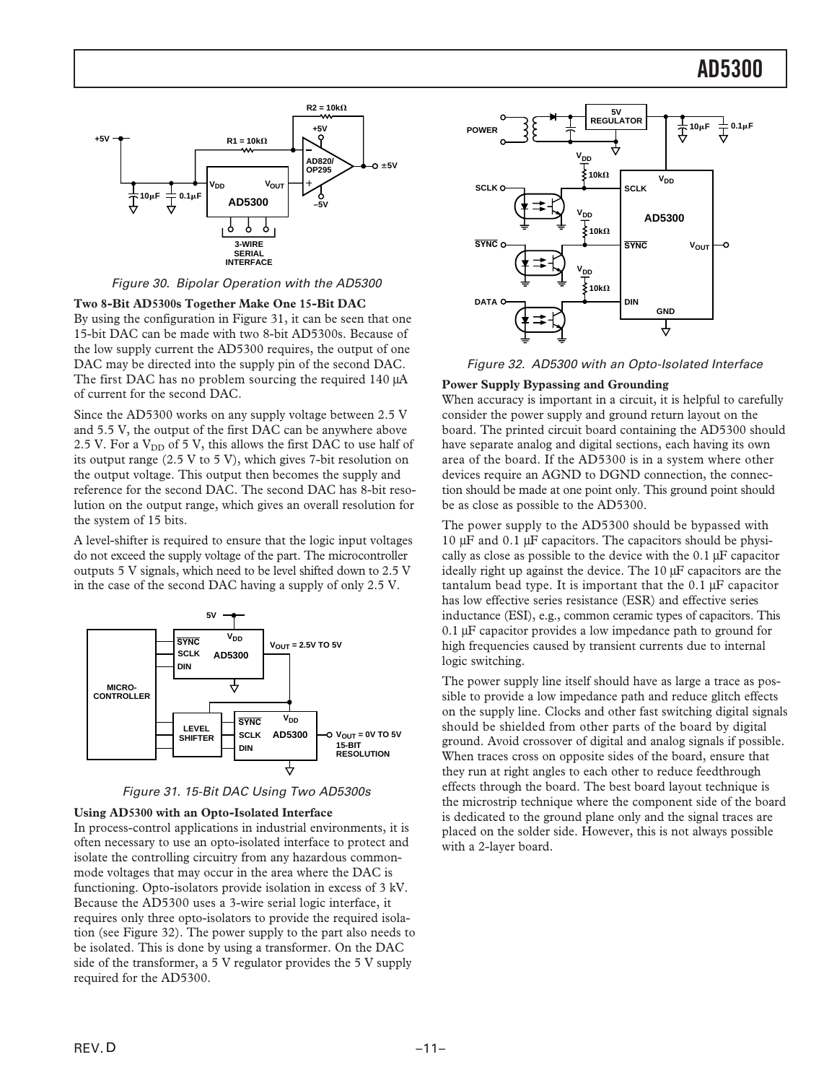<span id="page-10-0"></span>

Figure 30. Bipolar Operation with the AD5300

**Two 8-Bit AD5300s Together Make One 15-Bit DAC**

By using the configuration in Figure 31, it can be seen that one 15-bit DAC can be made with two 8-bit AD5300s. Because of the low supply current the AD5300 requires, the output of one DAC may be directed into the supply pin of the second DAC. The first DAC has no problem sourcing the required 140  $\mu$ A of current for the second DAC.

Since the AD5300 works on any supply voltage between 2.5 V and 5.5 V, the output of the first DAC can be anywhere above 2.5 V. For a  $V_{DD}$  of 5 V, this allows the first DAC to use half of its output range (2.5 V to 5 V), which gives 7-bit resolution on the output voltage. This output then becomes the supply and reference for the second DAC. The second DAC has 8-bit resolution on the output range, which gives an overall resolution for the system of 15 bits.

A level-shifter is required to ensure that the logic input voltages do not exceed the supply voltage of the part. The microcontroller outputs 5 V signals, which need to be level shifted down to 2.5 V in the case of the second DAC having a supply of only 2.5 V.





#### **Using AD5300 with an Opto-Isolated Interface**

In process-control applications in industrial environments, it is often necessary to use an opto-isolated interface to protect and isolate the controlling circuitry from any hazardous commonmode voltages that may occur in the area where the DAC is functioning. Opto-isolators provide isolation in excess of 3 kV. Because the AD5300 uses a 3-wire serial logic interface, it requires only three opto-isolators to provide the required isolation (see Figure 32). The power supply to the part also needs to be isolated. This is done by using a transformer. On the DAC side of the transformer, a 5 V regulator provides the 5 V supply required for the AD5300.



Figure 32. AD5300 with an Opto-Isolated Interface

#### **Power Supply Bypassing and Grounding**

When accuracy is important in a circuit, it is helpful to carefully consider the power supply and ground return layout on the board. The printed circuit board containing the AD5300 should have separate analog and digital sections, each having its own area of the board. If the AD5300 is in a system where other devices require an AGND to DGND connection, the connection should be made at one point only. This ground point should be as close as possible to the AD5300.

The power supply to the AD5300 should be bypassed with 10 µF and 0.1 µF capacitors. The capacitors should be physically as close as possible to the device with the 0.1 µF capacitor ideally right up against the device. The 10 µF capacitors are the tantalum bead type. It is important that the  $0.1 \mu$ F capacitor has low effective series resistance (ESR) and effective series inductance (ESI), e.g., common ceramic types of capacitors. This 0.1 µF capacitor provides a low impedance path to ground for high frequencies caused by transient currents due to internal logic switching.

The power supply line itself should have as large a trace as possible to provide a low impedance path and reduce glitch effects on the supply line. Clocks and other fast switching digital signals should be shielded from other parts of the board by digital ground. Avoid crossover of digital and analog signals if possible. When traces cross on opposite sides of the board, ensure that they run at right angles to each other to reduce feedthrough effects through the board. The best board layout technique is the microstrip technique where the component side of the board is dedicated to the ground plane only and the signal traces are placed on the solder side. However, this is not always possible with a 2-layer board.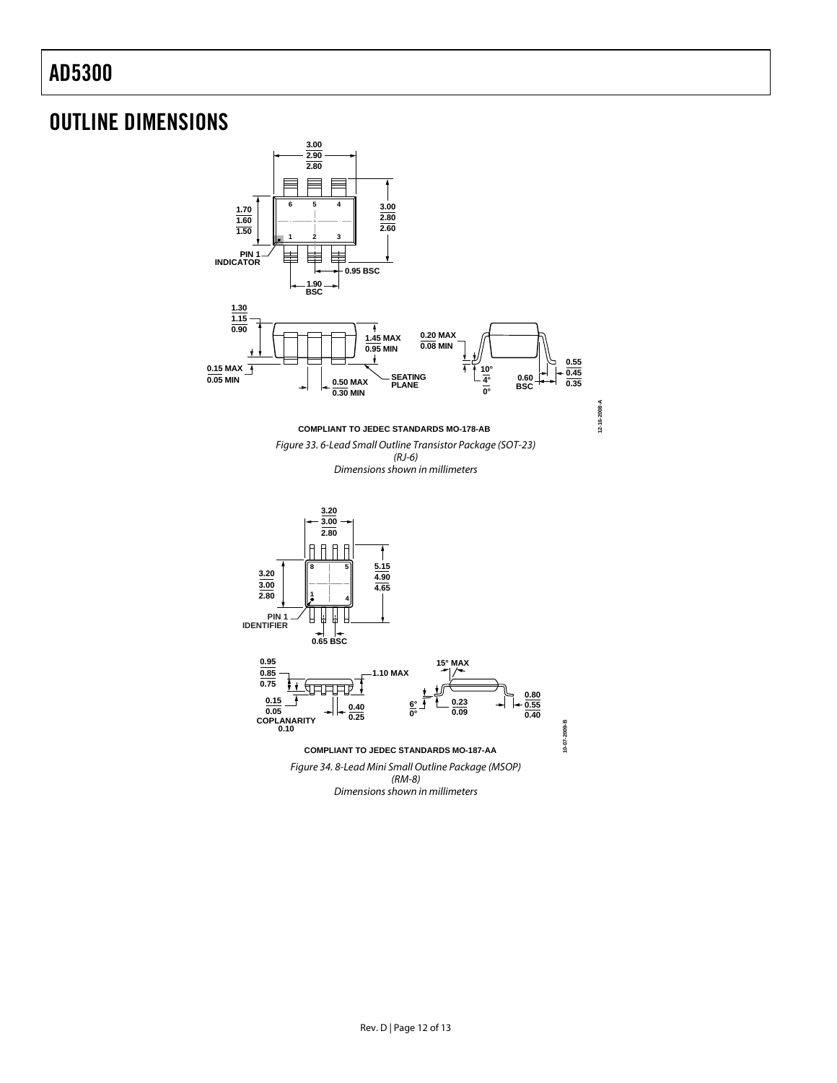## OUTLINE DIMENSIONS